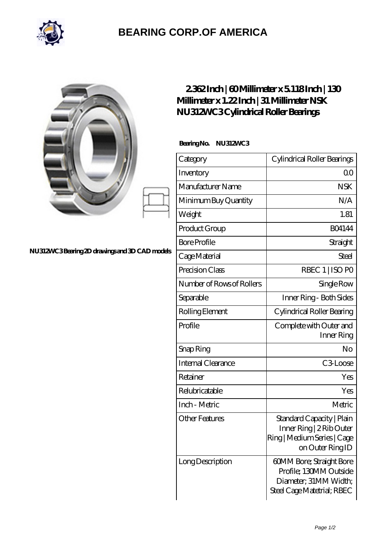

## **[BEARING CORP.OF AMERICA](https://bluemondayreview.com)**

| NU312WC3Bearing 2D drawings and 3D CAD models | 2362Inch   60Millimeter x 5118Inch   130<br>Millimeter x 1.22 Inch   31 Millimeter NSK<br>NU312MC3Cylindrical Roller Bearings |                                                                                                           |
|-----------------------------------------------|-------------------------------------------------------------------------------------------------------------------------------|-----------------------------------------------------------------------------------------------------------|
|                                               | BearingNo.<br><b>NU312WC3</b>                                                                                                 |                                                                                                           |
|                                               | Category                                                                                                                      | Cylindrical Roller Bearings                                                                               |
|                                               | Inventory                                                                                                                     | 0 <sup>0</sup>                                                                                            |
|                                               | Manufacturer Name                                                                                                             | <b>NSK</b>                                                                                                |
|                                               | Minimum Buy Quantity                                                                                                          | N/A                                                                                                       |
|                                               | Weight                                                                                                                        | 1.81                                                                                                      |
|                                               | Product Group                                                                                                                 | <b>BO4144</b>                                                                                             |
|                                               | <b>Bore Profile</b>                                                                                                           | Straight                                                                                                  |
|                                               | Cage Material                                                                                                                 | Steel                                                                                                     |
|                                               | Precision Class                                                                                                               | RBEC 1   ISO PO                                                                                           |
|                                               | Number of Rows of Rollers                                                                                                     | Single Row                                                                                                |
|                                               | Separable                                                                                                                     | Inner Ring - Both Sides                                                                                   |
|                                               | Rolling Element                                                                                                               | Cylindrical Roller Bearing                                                                                |
|                                               | Profile                                                                                                                       | Complete with Outer and<br>Inner Ring                                                                     |
|                                               | Snap Ring                                                                                                                     | No                                                                                                        |
|                                               | Internal Clearance                                                                                                            | C3Loose                                                                                                   |
|                                               | Retainer                                                                                                                      | Yes                                                                                                       |
|                                               | Relubricatable                                                                                                                | Yes                                                                                                       |
|                                               | Inch - Metric                                                                                                                 | Metric                                                                                                    |
|                                               | <b>Other Features</b>                                                                                                         | Standard Capacity   Plain<br>Inner Ring   2 Rib Outer<br>Ring   Medium Series   Cage<br>on Outer Ring ID  |
|                                               | Long Description                                                                                                              | 60MM Bore; Straight Bore<br>Profile; 130MM Outside<br>Diameter; 31MM Width;<br>Steel Cage Matetrial; RBEC |